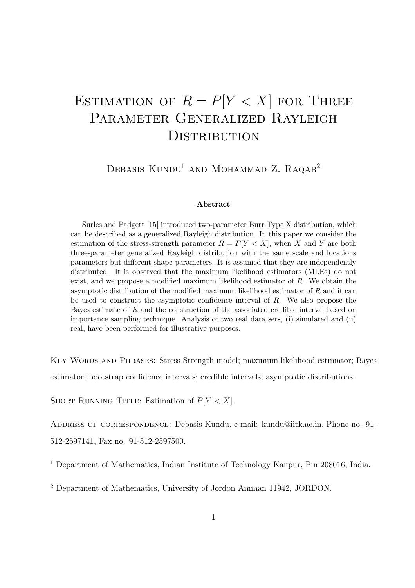# ESTIMATION OF  $R = P[Y < X]$  for Three PARAMETER GENERALIZED RAYLEIGH **DISTRIBUTION**

DEBASIS  $KUNDU<sup>1</sup>$  and Mohammad Z. Raqab<sup>2</sup>

#### Abstract

Surles and Padgett [15] introduced two-parameter Burr Type X distribution, which can be described as a generalized Rayleigh distribution. In this paper we consider the estimation of the stress-strength parameter  $R = P[Y < X]$ , when X and Y are both three-parameter generalized Rayleigh distribution with the same scale and locations parameters but different shape parameters. It is assumed that they are independently distributed. It is observed that the maximum likelihood estimators (MLEs) do not exist, and we propose a modified maximum likelihood estimator of R. We obtain the asymptotic distribution of the modified maximum likelihood estimator of  $R$  and it can be used to construct the asymptotic confidence interval of  $R$ . We also propose the Bayes estimate of R and the construction of the associated credible interval based on importance sampling technique. Analysis of two real data sets, (i) simulated and (ii) real, have been performed for illustrative purposes.

KEY WORDS AND PHRASES: Stress-Strength model; maximum likelihood estimator; Bayes estimator; bootstrap confidence intervals; credible intervals; asymptotic distributions.

SHORT RUNNING TITLE: Estimation of  $P[Y < X]$ .

ADDRESS OF CORRESPONDENCE: Debasis Kundu, e-mail: kundu@iitk.ac.in, Phone no. 91-512-2597141, Fax no. 91-512-2597500.

<sup>1</sup> Department of Mathematics, Indian Institute of Technology Kanpur, Pin 208016, India.

<sup>2</sup> Department of Mathematics, University of Jordon Amman 11942, JORDON.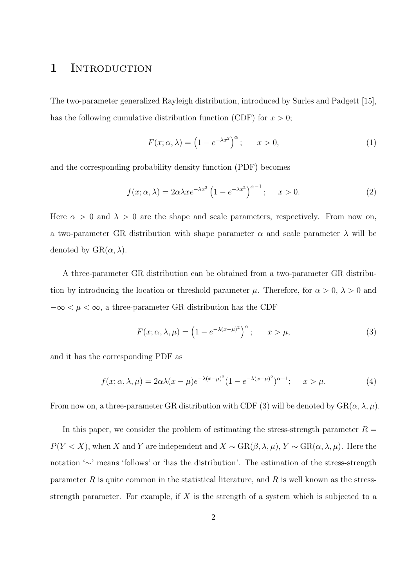### 1 INTRODUCTION

The two-parameter generalized Rayleigh distribution, introduced by Surles and Padgett [15], has the following cumulative distribution function (CDF) for  $x > 0$ ;

$$
F(x; \alpha, \lambda) = \left(1 - e^{-\lambda x^2}\right)^{\alpha}; \qquad x > 0,
$$
\n<sup>(1)</sup>

and the corresponding probability density function (PDF) becomes

$$
f(x; \alpha, \lambda) = 2\alpha\lambda x e^{-\lambda x^2} \left(1 - e^{-\lambda x^2}\right)^{\alpha - 1}; \quad x > 0.
$$
 (2)

Here  $\alpha > 0$  and  $\lambda > 0$  are the shape and scale parameters, respectively. From now on, a two-parameter GR distribution with shape parameter  $\alpha$  and scale parameter  $\lambda$  will be denoted by  $\text{GR}(\alpha, \lambda)$ .

A three-parameter GR distribution can be obtained from a two-parameter GR distribution by introducing the location or threshold parameter  $\mu$ . Therefore, for  $\alpha > 0$ ,  $\lambda > 0$  and  $-\infty < \mu < \infty$ , a three-parameter GR distribution has the CDF

$$
F(x; \alpha, \lambda, \mu) = \left(1 - e^{-\lambda(x - \mu)^2}\right)^{\alpha}; \qquad x > \mu,
$$
\n(3)

and it has the corresponding PDF as

$$
f(x; \alpha, \lambda, \mu) = 2\alpha\lambda(x - \mu)e^{-\lambda(x - \mu)^2}(1 - e^{-\lambda(x - \mu)^2})^{\alpha - 1}; \quad x > \mu.
$$
 (4)

From now on, a three-parameter GR distribution with CDF (3) will be denoted by  $GR(\alpha, \lambda, \mu)$ .

In this paper, we consider the problem of estimating the stress-strength parameter  $R =$  $P(Y < X)$ , when X and Y are independent and  $X \sim \text{GR}(\beta, \lambda, \mu)$ ,  $Y \sim \text{GR}(\alpha, \lambda, \mu)$ . Here the notation '∼' means 'follows' or 'has the distribution'. The estimation of the stress-strength parameter  $R$  is quite common in the statistical literature, and  $R$  is well known as the stressstrength parameter. For example, if  $X$  is the strength of a system which is subjected to a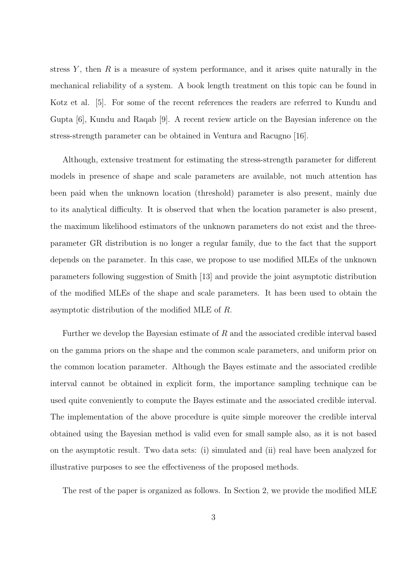stress  $Y$ , then  $R$  is a measure of system performance, and it arises quite naturally in the mechanical reliability of a system. A book length treatment on this topic can be found in Kotz et al. [5]. For some of the recent references the readers are referred to Kundu and Gupta [6], Kundu and Raqab [9]. A recent review article on the Bayesian inference on the stress-strength parameter can be obtained in Ventura and Racugno [16].

Although, extensive treatment for estimating the stress-strength parameter for different models in presence of shape and scale parameters are available, not much attention has been paid when the unknown location (threshold) parameter is also present, mainly due to its analytical difficulty. It is observed that when the location parameter is also present, the maximum likelihood estimators of the unknown parameters do not exist and the threeparameter GR distribution is no longer a regular family, due to the fact that the support depends on the parameter. In this case, we propose to use modified MLEs of the unknown parameters following suggestion of Smith [13] and provide the joint asymptotic distribution of the modified MLEs of the shape and scale parameters. It has been used to obtain the asymptotic distribution of the modified MLE of R.

Further we develop the Bayesian estimate of R and the associated credible interval based on the gamma priors on the shape and the common scale parameters, and uniform prior on the common location parameter. Although the Bayes estimate and the associated credible interval cannot be obtained in explicit form, the importance sampling technique can be used quite conveniently to compute the Bayes estimate and the associated credible interval. The implementation of the above procedure is quite simple moreover the credible interval obtained using the Bayesian method is valid even for small sample also, as it is not based on the asymptotic result. Two data sets: (i) simulated and (ii) real have been analyzed for illustrative purposes to see the effectiveness of the proposed methods.

The rest of the paper is organized as follows. In Section 2, we provide the modified MLE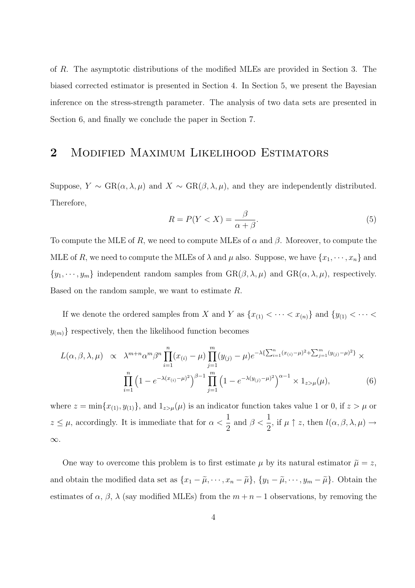of R. The asymptotic distributions of the modified MLEs are provided in Section 3. The biased corrected estimator is presented in Section 4. In Section 5, we present the Bayesian inference on the stress-strength parameter. The analysis of two data sets are presented in Section 6, and finally we conclude the paper in Section 7.

# 2 MODIFIED MAXIMUM LIKELIHOOD ESTIMATORS

Suppose,  $Y \sim \text{GR}(\alpha, \lambda, \mu)$  and  $X \sim \text{GR}(\beta, \lambda, \mu)$ , and they are independently distributed. Therefore,

$$
R = P(Y < X) = \frac{\beta}{\alpha + \beta}.\tag{5}
$$

To compute the MLE of R, we need to compute MLEs of  $\alpha$  and  $\beta$ . Moreover, to compute the MLE of R, we need to compute the MLEs of  $\lambda$  and  $\mu$  also. Suppose, we have  $\{x_1, \dots, x_n\}$  and  $\{y_1, \dots, y_m\}$  independent random samples from  $\text{GR}(\beta, \lambda, \mu)$  and  $\text{GR}(\alpha, \lambda, \mu)$ , respectively. Based on the random sample, we want to estimate R.

If we denote the ordered samples from X and Y as  $\{x_{(1)} < \cdots < x_{(n)}\}$  and  $\{y_{(1)} < \cdots <$  $y_{(m)}$ } respectively, then the likelihood function becomes

$$
L(\alpha, \beta, \lambda, \mu) \propto \lambda^{m+n} \alpha^m \beta^n \prod_{i=1}^n (x_{(i)} - \mu) \prod_{j=1}^m (y_{(j)} - \mu) e^{-\lambda \{\sum_{i=1}^n (x_{(i)} - \mu)^2 + \sum_{j=1}^m (y_{(j)} - \mu)^2\}} \times \prod_{i=1}^n (1 - e^{-\lambda (x_{(i)} - \mu)^2})^{\beta - 1} \prod_{j=1}^m (1 - e^{-\lambda (y_{(j)} - \mu)^2})^{\alpha - 1} \times 1_{z > \mu}(\mu),
$$
\n(6)

where  $z = \min\{x_{(1)}, y_{(1)}\}$ , and  $1_{z>\mu}(\mu)$  is an indicator function takes value 1 or 0, if  $z > \mu$  or  $z \leq \mu$ , accordingly. It is immediate that for  $\alpha <$ 1 2 and  $\beta < \frac{1}{2}$  $\frac{1}{2}$ , if  $\mu \uparrow z$ , then  $l(\alpha, \beta, \lambda, \mu) \rightarrow$ ∞.

One way to overcome this problem is to first estimate  $\mu$  by its natural estimator  $\tilde{\mu} = z$ , and obtain the modified data set as  $\{x_1 - \tilde{\mu}, \dots, x_n - \tilde{\mu}\}, \{y_1 - \tilde{\mu}, \dots, y_m - \tilde{\mu}\}.$  Obtain the estimates of  $\alpha$ ,  $\beta$ ,  $\lambda$  (say modified MLEs) from the  $m + n - 1$  observations, by removing the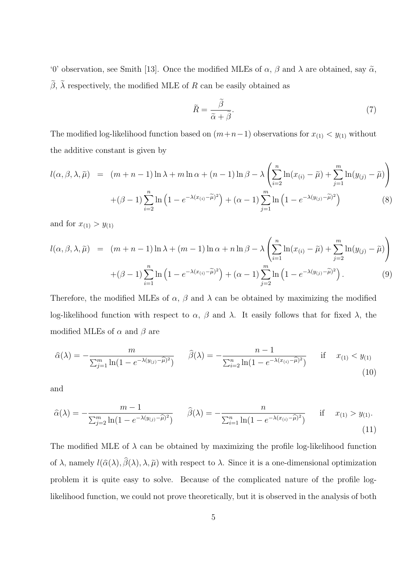'0' observation, see Smith [13]. Once the modified MLEs of  $\alpha$ ,  $\beta$  and  $\lambda$  are obtained, say  $\tilde{\alpha}$ ,  $β$ , λ respectively, the modified MLE of R can be easily obtained as

$$
\widetilde{R} = \frac{\widetilde{\beta}}{\widetilde{\alpha} + \widetilde{\beta}}.\tag{7}
$$

The modified log-likelihood function based on  $(m+n-1)$  observations for  $x_{(1)} < y_{(1)}$  without the additive constant is given by

$$
l(\alpha, \beta, \lambda, \tilde{\mu}) = (m+n-1) \ln \lambda + m \ln \alpha + (n-1) \ln \beta - \lambda \left( \sum_{i=2}^{n} \ln(x_{(i)} - \tilde{\mu}) + \sum_{j=1}^{m} \ln(y_{(j)} - \tilde{\mu}) \right)
$$

$$
+ (\beta - 1) \sum_{i=2}^{n} \ln \left( 1 - e^{-\lambda(x_{(i)} - \tilde{\mu})^{2}} \right) + (\alpha - 1) \sum_{j=1}^{m} \ln \left( 1 - e^{-\lambda(y_{(j)} - \tilde{\mu})^{2}} \right)
$$
(8)

and for  $x_{(1)} > y_{(1)}$ 

$$
l(\alpha, \beta, \lambda, \tilde{\mu}) = (m+n-1) \ln \lambda + (m-1) \ln \alpha + n \ln \beta - \lambda \left( \sum_{i=1}^{n} \ln(x_{(i)} - \tilde{\mu}) + \sum_{j=2}^{m} \ln(y_{(j)} - \tilde{\mu}) \right) + (\beta - 1) \sum_{i=1}^{n} \ln \left( 1 - e^{-\lambda(x_{(i)} - \tilde{\mu})^2} \right) + (\alpha - 1) \sum_{j=2}^{m} \ln \left( 1 - e^{-\lambda(y_{(j)} - \tilde{\mu})^2} \right).
$$
 (9)

Therefore, the modified MLEs of  $\alpha$ ,  $\beta$  and  $\lambda$  can be obtained by maximizing the modified log-likelihood function with respect to  $\alpha$ ,  $\beta$  and  $\lambda$ . It easily follows that for fixed  $\lambda$ , the modified MLEs of  $\alpha$  and  $\beta$  are

$$
\hat{\alpha}(\lambda) = -\frac{m}{\sum_{j=1}^{m} \ln(1 - e^{-\lambda(y_{(j)} - \hat{\mu})^2})} \qquad \hat{\beta}(\lambda) = -\frac{n-1}{\sum_{i=2}^{n} \ln(1 - e^{-\lambda(x_{(i)} - \hat{\mu})^2})} \qquad \text{if} \qquad x_{(1)} < y_{(1)} \tag{10}
$$

and

$$
\hat{\alpha}(\lambda) = -\frac{m-1}{\sum_{j=2}^{m} \ln(1 - e^{-\lambda(y_{(j)} - \hat{\mu})^2})} \qquad \hat{\beta}(\lambda) = -\frac{n}{\sum_{i=1}^{n} \ln(1 - e^{-\lambda(x_{(i)} - \hat{\mu})^2})} \qquad \text{if} \qquad x_{(1)} > y_{(1)}.
$$
\n<sup>(11)</sup>

The modified MLE of  $\lambda$  can be obtained by maximizing the profile log-likelihood function of  $\lambda$ , namely  $l(\hat{\alpha}(\lambda), \beta(\lambda), \lambda, \tilde{\mu})$  with respect to  $\lambda$ . Since it is a one-dimensional optimization problem it is quite easy to solve. Because of the complicated nature of the profile loglikelihood function, we could not prove theoretically, but it is observed in the analysis of both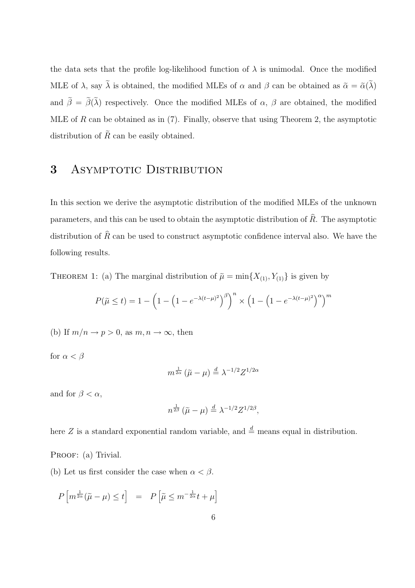the data sets that the profile log-likelihood function of  $\lambda$  is unimodal. Once the modified MLE of  $\lambda$ , say  $\lambda$  is obtained, the modified MLEs of  $\alpha$  and  $\beta$  can be obtained as  $\tilde{\alpha} = \tilde{\alpha}(\lambda)$ and  $\beta = \beta(\lambda)$  respectively. Once the modified MLEs of  $\alpha$ ,  $\beta$  are obtained, the modified MLE of R can be obtained as in  $(7)$ . Finally, observe that using Theorem 2, the asymptotic distribution of  $\tilde{R}$  can be easily obtained.

## 3 ASYMPTOTIC DISTRIBUTION

In this section we derive the asymptotic distribution of the modified MLEs of the unknown parameters, and this can be used to obtain the asymptotic distribution of  $\hat{R}$ . The asymptotic distribution of  $\hat{R}$  can be used to construct asymptotic confidence interval also. We have the following results.

THEOREM 1: (a) The marginal distribution of  $\tilde{\mu} = \min\{X_{(1)}, Y_{(1)}\}$  is given by

$$
P(\tilde{\mu} \le t) = 1 - \left(1 - \left(1 - e^{-\lambda(t-\mu)^2}\right)^{\beta}\right)^n \times \left(1 - \left(1 - e^{-\lambda(t-\mu)^2}\right)^{\alpha}\right)^m
$$

(b) If  $m/n \to p > 0$ , as  $m, n \to \infty$ , then

for  $\alpha < \beta$ 

$$
m^{\frac{1}{2\alpha}}\left(\tilde{\mu}-\mu\right) \stackrel{d}{=} \lambda^{-1/2}Z^{1/2\alpha}
$$

and for  $\beta < \alpha$ ,

$$
n^{\frac{1}{2\beta}}\left(\tilde{\mu}-\mu\right) \stackrel{d}{=} \lambda^{-1/2}Z^{1/2\beta},
$$

here Z is a standard exponential random variable, and  $\stackrel{d}{=}$  means equal in distribution.

PROOF: (a) Trivial.

(b) Let us first consider the case when  $\alpha < \beta$ .

$$
P\left[m^{\frac{1}{2\alpha}}(\tilde{\mu}-\mu)\leq t\right] = P\left[\tilde{\mu}\leq m^{-\frac{1}{2\alpha}}t+\mu\right]
$$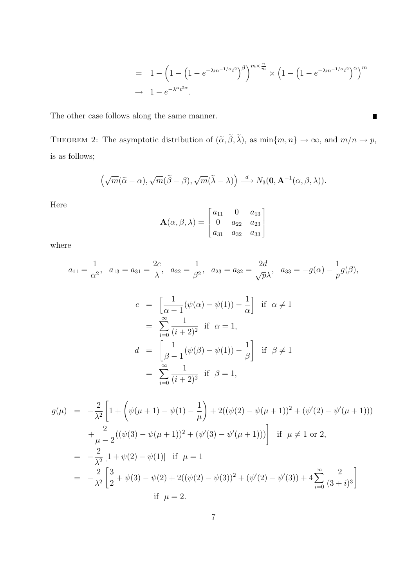$$
= 1 - \left(1 - \left(1 - e^{-\lambda m^{-1/\alpha}t^2}\right)^{\beta}\right)^{m \times \frac{n}{m}} \times \left(1 - \left(1 - e^{-\lambda m^{-1/\alpha}t^2}\right)^{\alpha}\right)^m
$$
  

$$
\to 1 - e^{-\lambda^{\alpha}t^{2\alpha}}.
$$

 $\blacksquare$ 

The other case follows along the same manner.

THEOREM 2: The asymptotic distribution of  $(\tilde{\alpha}, \beta, \lambda)$ , as  $\min\{m, n\} \to \infty$ , and  $m/n \to p$ , is as follows;

$$
\left(\sqrt{m}(\widetilde{\alpha}-\alpha),\sqrt{m}(\widetilde{\beta}-\beta),\sqrt{m}(\widetilde{\lambda}-\lambda)\right) \stackrel{d}{\longrightarrow} N_3(\mathbf{0},\mathbf{A}^{-1}(\alpha,\beta,\lambda)).
$$

Here

$$
\mathbf{A}(\alpha, \beta, \lambda) = \begin{bmatrix} a_{11} & 0 & a_{13} \\ 0 & a_{22} & a_{23} \\ a_{31} & a_{32} & a_{33} \end{bmatrix}
$$

where

$$
a_{11} = \frac{1}{\alpha^2}
$$
,  $a_{13} = a_{31} = \frac{2c}{\lambda}$ ,  $a_{22} = \frac{1}{\beta^2}$ ,  $a_{23} = a_{32} = \frac{2d}{\sqrt{p}\lambda}$ ,  $a_{33} = -g(\alpha) - \frac{1}{p}g(\beta)$ ,

$$
c = \left[\frac{1}{\alpha - 1}(\psi(\alpha) - \psi(1)) - \frac{1}{\alpha}\right] \text{ if } \alpha \neq 1
$$
  
\n
$$
= \sum_{i=0}^{\infty} \frac{1}{(i+2)^2} \text{ if } \alpha = 1,
$$
  
\n
$$
d = \left[\frac{1}{\beta - 1}(\psi(\beta) - \psi(1)) - \frac{1}{\beta}\right] \text{ if } \beta \neq 1
$$
  
\n
$$
= \sum_{i=0}^{\infty} \frac{1}{(i+2)^2} \text{ if } \beta = 1,
$$

$$
g(\mu) = -\frac{2}{\lambda^2} \left[ 1 + \left( \psi(\mu + 1) - \psi(1) - \frac{1}{\mu} \right) + 2((\psi(2) - \psi(\mu + 1))^2 + (\psi'(2) - \psi'(\mu + 1))) \right. \\
\left. + \frac{2}{\mu - 2} ((\psi(3) - \psi(\mu + 1))^2 + (\psi'(3) - \psi'(\mu + 1))) \right] \text{ if } \mu \neq 1 \text{ or } 2, \\
= -\frac{2}{\lambda^2} \left[ 1 + \psi(2) - \psi(1) \right] \text{ if } \mu = 1 \\
= -\frac{2}{\lambda^2} \left[ \frac{3}{2} + \psi(3) - \psi(2) + 2((\psi(2) - \psi(3))^2 + (\psi'(2) - \psi'(3)) + 4 \sum_{i=0}^{\infty} \frac{2}{(3+i)^3} \right] \\
\text{if } \mu = 2.
$$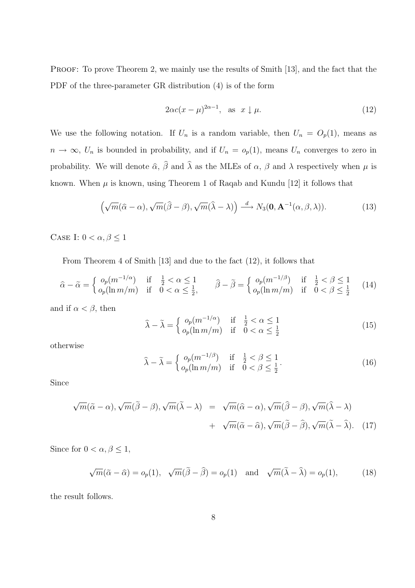PROOF: To prove Theorem 2, we mainly use the results of Smith [13], and the fact that the PDF of the three-parameter GR distribution (4) is of the form

$$
2\alpha c(x - \mu)^{2\alpha - 1}, \text{ as } x \downarrow \mu. \tag{12}
$$

We use the following notation. If  $U_n$  is a random variable, then  $U_n = O_p(1)$ , means as  $n \to \infty$ ,  $U_n$  is bounded in probability, and if  $U_n = o_p(1)$ , means  $U_n$  converges to zero in probability. We will denote  $\hat{\alpha}$ ,  $\beta$  and  $\lambda$  as the MLEs of  $\alpha$ ,  $\beta$  and  $\lambda$  respectively when  $\mu$  is known. When  $\mu$  is known, using Theorem 1 of Raqab and Kundu [12] it follows that

$$
\left(\sqrt{m}(\hat{\alpha}-\alpha),\sqrt{m}(\hat{\beta}-\beta),\sqrt{m}(\hat{\lambda}-\lambda)\right) \stackrel{d}{\longrightarrow} N_3(\mathbf{0},\mathbf{A}^{-1}(\alpha,\beta,\lambda)).\tag{13}
$$

CASE I:  $0 < \alpha, \beta \leq 1$ 

From Theorem 4 of Smith [13] and due to the fact (12), it follows that

$$
\hat{\alpha} - \tilde{\alpha} = \begin{cases}\n o_p(m^{-1/\alpha}) & \text{if } \frac{1}{2} < \alpha \le 1 \\
 o_p(\ln m/m) & \text{if } 0 < \alpha \le \frac{1}{2},\n\end{cases}\n\quad\n\hat{\beta} - \tilde{\beta} = \begin{cases}\n o_p(m^{-1/\beta}) & \text{if } \frac{1}{2} < \beta \le 1 \\
 o_p(\ln m/m) & \text{if } 0 < \beta \le \frac{1}{2}\n\end{cases}\n\tag{14}
$$

and if  $\alpha < \beta$ , then

$$
\widehat{\lambda} - \widetilde{\lambda} = \begin{cases}\n o_p(m^{-1/\alpha}) & \text{if } \frac{1}{2} < \alpha \le 1 \\
 o_p(\ln m/m) & \text{if } 0 < \alpha \le \frac{1}{2}\n\end{cases}
$$
\n(15)

otherwise

$$
\widehat{\lambda} - \widetilde{\lambda} = \begin{cases}\n o_p(m^{-1/\beta}) & \text{if } \frac{1}{2} < \beta \le 1 \\
 o_p(\ln m/m) & \text{if } 0 < \beta \le \frac{1}{2}\n\end{cases} \tag{16}
$$

Since

$$
\sqrt{m}(\tilde{\alpha} - \alpha), \sqrt{m}(\tilde{\beta} - \beta), \sqrt{m}(\tilde{\lambda} - \lambda) = \sqrt{m}(\hat{\alpha} - \alpha), \sqrt{m}(\hat{\beta} - \beta), \sqrt{m}(\tilde{\lambda} - \lambda) + \sqrt{m}(\tilde{\alpha} - \hat{\alpha}), \sqrt{m}(\tilde{\beta} - \hat{\beta}), \sqrt{m}(\tilde{\lambda} - \hat{\lambda}).
$$
 (17)

Since for  $0 < \alpha, \beta \leq 1$ ,

$$
\sqrt{m}(\tilde{\alpha} - \hat{\alpha}) = o_p(1), \quad \sqrt{m}(\tilde{\beta} - \hat{\beta}) = o_p(1) \quad \text{and} \quad \sqrt{m}(\tilde{\lambda} - \hat{\lambda}) = o_p(1), \tag{18}
$$

the result follows.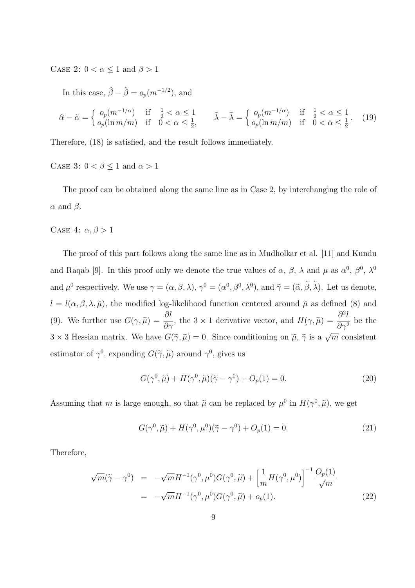CASE 2:  $0 < \alpha \leq 1$  and  $\beta > 1$ 

In this case,  $\hat{\beta} - \tilde{\beta} = o_p(m^{-1/2})$ , and

$$
\hat{\alpha} - \tilde{\alpha} = \begin{cases}\n o_p(m^{-1/\alpha}) & \text{if } \frac{1}{2} < \alpha \le 1 \\
 o_p(\ln m/m) & \text{if } 0 < \alpha \le \frac{1}{2},\n\end{cases}\n\qquad\n\hat{\lambda} - \tilde{\lambda} = \begin{cases}\n o_p(m^{-1/\alpha}) & \text{if } \frac{1}{2} < \alpha \le 1 \\
 o_p(\ln m/m) & \text{if } 0 < \alpha \le \frac{1}{2}.\n\end{cases}\n\tag{19}
$$

Therefore, (18) is satisfied, and the result follows immediately.

CASE 3:  $0 < \beta \leq 1$  and  $\alpha > 1$ 

The proof can be obtained along the same line as in Case 2, by interchanging the role of  $\alpha$  and  $\beta$ .

CASE 4:  $\alpha, \beta > 1$ 

The proof of this part follows along the same line as in Mudholkar et al. [11] and Kundu and Raqab [9]. In this proof only we denote the true values of  $\alpha$ ,  $\beta$ ,  $\lambda$  and  $\mu$  as  $\alpha^0$ ,  $\beta^0$ ,  $\lambda^0$ and  $\mu^0$  respectively. We use  $\gamma = (\alpha, \beta, \lambda), \gamma^0 = (\alpha^0, \beta^0, \lambda^0)$ , and  $\tilde{\gamma} = (\tilde{\alpha}, \tilde{\beta}, \lambda)$ . Let us denote,  $l = l(\alpha, \beta, \lambda, \tilde{\mu})$ , the modified log-likelihood function centered around  $\tilde{\mu}$  as defined (8) and (9). We further use  $G(\gamma, \tilde{\mu}) = \frac{\partial l}{\partial \gamma}$ , the 3 × 1 derivative vector, and  $H(\gamma, \tilde{\mu}) = \frac{\partial^2 l}{\partial \gamma^2}$  $\frac{\partial^2}{\partial \gamma^2}$  be the  $3 \times 3$  Hessian matrix. We have  $G(\tilde{\gamma}, \tilde{\mu}) = 0$ . Since conditioning on  $\tilde{\mu}, \tilde{\gamma}$  is a  $\sqrt{m}$  consistent estimator of  $\gamma^0$ , expanding  $G(\tilde{\gamma}, \tilde{\mu})$  around  $\gamma^0$ , gives us

$$
G(\gamma^{0}, \tilde{\mu}) + H(\gamma^{0}, \tilde{\mu})(\tilde{\gamma} - \gamma^{0}) + O_{p}(1) = 0.
$$
\n(20)

Assuming that m is large enough, so that  $\tilde{\mu}$  can be replaced by  $\mu^0$  in  $H(\gamma^0, \tilde{\mu})$ , we get

$$
G(\gamma^{0}, \tilde{\mu}) + H(\gamma^{0}, \mu^{0})(\tilde{\gamma} - \gamma^{0}) + O_{p}(1) = 0.
$$
 (21)

Therefore,

$$
\sqrt{m}(\tilde{\gamma} - \gamma^0) = -\sqrt{m}H^{-1}(\gamma^0, \mu^0)G(\gamma^0, \tilde{\mu}) + \left[\frac{1}{m}H(\gamma^0, \mu^0)\right]^{-1} \frac{O_p(1)}{\sqrt{m}}
$$
  
=  $-\sqrt{m}H^{-1}(\gamma^0, \mu^0)G(\gamma^0, \tilde{\mu}) + o_p(1).$  (22)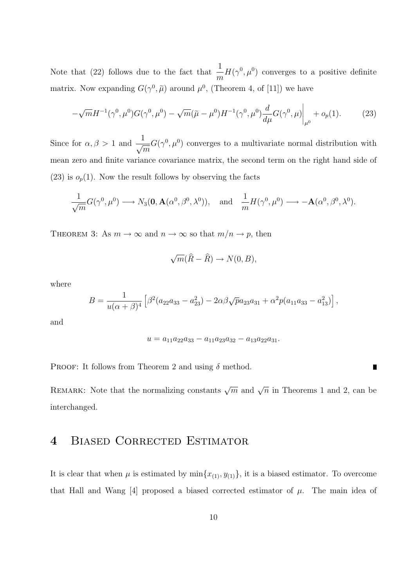Note that (22) follows due to the fact that  $\frac{1}{1}$ m  $H(\gamma^0, \mu^0)$  converges to a positive definite matrix. Now expanding  $G(\gamma^0, \tilde{\mu})$  around  $\mu^0$ , (Theorem 4, of [11]) we have

$$
-\sqrt{m}H^{-1}(\gamma^0, \mu^0)G(\gamma^0, \mu^0) - \sqrt{m}(\tilde{\mu} - \mu^0)H^{-1}(\gamma^0, \mu^0)\frac{d}{d\mu}G(\gamma^0, \mu)\bigg|_{\mu^0} + o_p(1). \tag{23}
$$

Since for  $\alpha, \beta > 1$  and  $\frac{1}{\sqrt{m}}$  $G(\gamma^0, \mu^0)$  converges to a multivariate normal distribution with mean zero and finite variance covariance matrix, the second term on the right hand side of  $(23)$  is  $o_p(1)$ . Now the result follows by observing the facts

$$
\frac{1}{\sqrt{m}}G(\gamma^0, \mu^0) \longrightarrow N_3(\mathbf{0}, \mathbf{A}(\alpha^0, \beta^0, \lambda^0)), \text{ and } \frac{1}{m}H(\gamma^0, \mu^0) \longrightarrow -\mathbf{A}(\alpha^0, \beta^0, \lambda^0).
$$

THEOREM 3: As  $m \to \infty$  and  $n \to \infty$  so that  $m/n \to p$ , then

$$
\sqrt{m}(\widehat{R} - \widehat{R}) \to N(0, B),
$$

where

$$
B = \frac{1}{u(\alpha + \beta)^4} \left[ \beta^2 (a_{22}a_{33} - a_{23}^2) - 2\alpha\beta\sqrt{p}a_{23}a_{31} + \alpha^2 p(a_{11}a_{33} - a_{13}^2) \right],
$$

and

$$
u = a_{11}a_{22}a_{33} - a_{11}a_{23}a_{32} - a_{13}a_{22}a_{31}.
$$

PROOF: It follows from Theorem 2 and using  $\delta$  method.

REMARK: Note that the normalizing constants  $\sqrt{m}$  and  $\sqrt{n}$  in Theorems 1 and 2, can be interchanged.

### 4 BIASED CORRECTED ESTIMATOR

It is clear that when  $\mu$  is estimated by  $\min\{x_{(1)},y_{(1)}\}$ , it is a biased estimator. To overcome that Hall and Wang [4] proposed a biased corrected estimator of  $\mu$ . The main idea of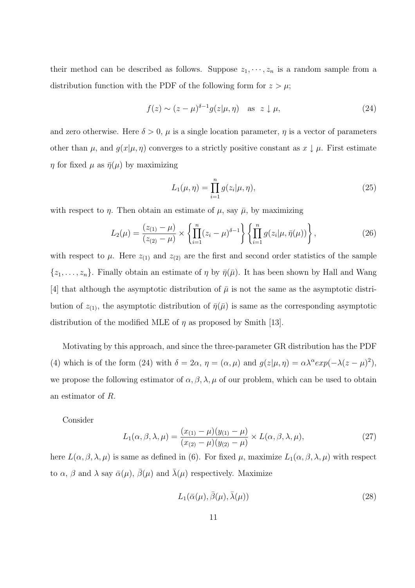their method can be described as follows. Suppose  $z_1, \dots, z_n$  is a random sample from a distribution function with the PDF of the following form for  $z > \mu$ ;

$$
f(z) \sim (z - \mu)^{\delta - 1} g(z | \mu, \eta) \quad \text{as} \quad z \downarrow \mu,
$$
\n(24)

and zero otherwise. Here  $\delta > 0$ ,  $\mu$  is a single location parameter,  $\eta$  is a vector of parameters other than  $\mu$ , and  $g(x|\mu, \eta)$  converges to a strictly positive constant as  $x \downarrow \mu$ . First estimate  $\eta$  for fixed  $\mu$  as  $\bar{\eta}(\mu)$  by maximizing

$$
L_1(\mu, \eta) = \prod_{i=1}^n g(z_i | \mu, \eta), \qquad (25)
$$

with respect to  $\eta$ . Then obtain an estimate of  $\mu$ , say  $\bar{\mu}$ , by maximizing

$$
L_2(\mu) = \frac{(z_{(1)} - \mu)}{(z_{(2)} - \mu)} \times \left\{ \prod_{i=1}^n (z_i - \mu)^{\delta - 1} \right\} \left\{ \prod_{i=1}^n g(z_i | \mu, \bar{\eta}(\mu)) \right\},\tag{26}
$$

with respect to  $\mu$ . Here  $z_{(1)}$  and  $z_{(2)}$  are the first and second order statistics of the sample  $\{z_1,\ldots,z_n\}$ . Finally obtain an estimate of  $\eta$  by  $\bar{\eta}(\bar{\mu})$ . It has been shown by Hall and Wang [4] that although the asymptotic distribution of  $\bar{\mu}$  is not the same as the asymptotic distribution of  $z_{(1)}$ , the asymptotic distribution of  $\bar{\eta}(\bar{\mu})$  is same as the corresponding asymptotic distribution of the modified MLE of  $\eta$  as proposed by Smith [13].

Motivating by this approach, and since the three-parameter GR distribution has the PDF (4) which is of the form (24) with  $\delta = 2\alpha$ ,  $\eta = (\alpha, \mu)$  and  $g(z|\mu, \eta) = \alpha \lambda^{\alpha} exp(-\lambda(z-\mu)^2)$ , we propose the following estimator of  $\alpha, \beta, \lambda, \mu$  of our problem, which can be used to obtain an estimator of R.

Consider

$$
L_1(\alpha, \beta, \lambda, \mu) = \frac{(x_{(1)} - \mu)(y_{(1)} - \mu)}{(x_{(2)} - \mu)(y_{(2)} - \mu)} \times L(\alpha, \beta, \lambda, \mu),
$$
\n(27)

here  $L(\alpha,\beta,\lambda,\mu)$  is same as defined in (6). For fixed  $\mu$ , maximize  $L_1(\alpha,\beta,\lambda,\mu)$  with respect to  $\alpha$ ,  $\beta$  and  $\lambda$  say  $\bar{\alpha}(\mu)$ ,  $\bar{\beta}(\mu)$  and  $\bar{\lambda}(\mu)$  respectively. Maximize

$$
L_1(\bar{\alpha}(\mu), \bar{\beta}(\mu), \bar{\lambda}(\mu)) \tag{28}
$$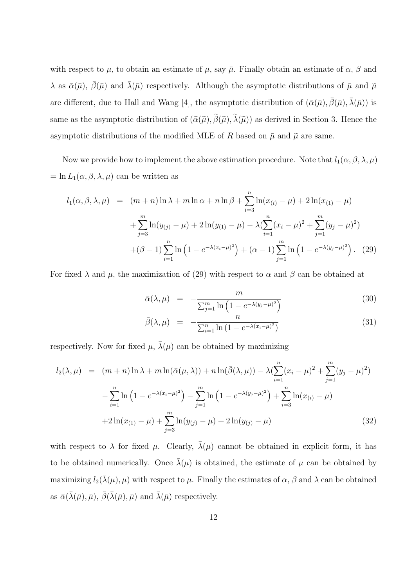with respect to  $\mu$ , to obtain an estimate of  $\mu$ , say  $\bar{\mu}$ . Finally obtain an estimate of  $\alpha$ ,  $\beta$  and  $\lambda$  as  $\bar{\alpha}(\bar{\mu})$ ,  $\bar{\beta}(\bar{\mu})$  and  $\bar{\lambda}(\bar{\mu})$  respectively. Although the asymptotic distributions of  $\bar{\mu}$  and  $\tilde{\mu}$ are different, due to Hall and Wang [4], the asymptotic distribution of  $(\bar{\alpha}(\bar{\mu}), \bar{\beta}(\bar{\mu}), \bar{\lambda}(\bar{\mu}))$  is same as the asymptotic distribution of  $(\tilde{\alpha}(\tilde{\mu}), \beta(\tilde{\mu}), \lambda(\tilde{\mu}))$  as derived in Section 3. Hence the asymptotic distributions of the modified MLE of R based on  $\bar{\mu}$  and  $\tilde{\mu}$  are same.

Now we provide how to implement the above estimation procedure. Note that  $l_1(\alpha,\beta,\lambda,\mu)$  $=$  ln  $L_1(\alpha,\beta,\lambda,\mu)$  can be written as

$$
l_1(\alpha, \beta, \lambda, \mu) = (m+n)\ln\lambda + m\ln\alpha + n\ln\beta + \sum_{i=3}^n \ln(x_{(i)} - \mu) + 2\ln(x_{(1)} - \mu)
$$
  
+ 
$$
\sum_{j=3}^m \ln(y_{(j)} - \mu) + 2\ln(y_{(1)} - \mu) - \lambda \left(\sum_{i=1}^n (x_i - \mu)^2 + \sum_{j=1}^m (y_j - \mu)^2\right)
$$
  
+ 
$$
(\beta - 1) \sum_{i=1}^n \ln\left(1 - e^{-\lambda(x_i - \mu)^2}\right) + (\alpha - 1) \sum_{j=1}^m \ln\left(1 - e^{-\lambda(y_j - \mu)^2}\right). \tag{29}
$$

For fixed  $\lambda$  and  $\mu$ , the maximization of (29) with respect to  $\alpha$  and  $\beta$  can be obtained at

$$
\bar{\alpha}(\lambda,\mu) = -\frac{m}{\sum_{j=1}^{m} \ln\left(1 - e^{-\lambda(y_j - \mu)^2}\right)}
$$
(30)

$$
\bar{\beta}(\lambda,\mu) = -\frac{n}{\sum_{i=1}^{n} \ln\left(1 - e^{-\lambda(x_i - \mu)^2}\right)}\tag{31}
$$

respectively. Now for fixed  $\mu$ ,  $\bar{\lambda}(\mu)$  can be obtained by maximizing

$$
l_2(\lambda, \mu) = (m+n)\ln\lambda + m\ln(\bar{\alpha}(\mu, \lambda)) + n\ln(\bar{\beta}(\lambda, \mu)) - \lambda(\sum_{i=1}^n (x_i - \mu)^2 + \sum_{j=1}^m (y_j - \mu)^2)
$$
  

$$
-\sum_{i=1}^n \ln\left(1 - e^{-\lambda(x_i - \mu)^2}\right) - \sum_{j=1}^m \ln\left(1 - e^{-\lambda(y_j - \mu)^2}\right) + \sum_{i=3}^n \ln(x_{(i)} - \mu)
$$
  

$$
+ 2\ln(x_{(1)} - \mu) + \sum_{j=3}^m \ln(y_{(j)} - \mu) + 2\ln(y_{(j)} - \mu)
$$
 (32)

with respect to  $\lambda$  for fixed  $\mu$ . Clearly,  $\bar{\lambda}(\mu)$  cannot be obtained in explicit form, it has to be obtained numerically. Once  $\bar{\lambda}(\mu)$  is obtained, the estimate of  $\mu$  can be obtained by maximizing  $l_2(\bar{\lambda}(\mu), \mu)$  with respect to  $\mu$ . Finally the estimates of  $\alpha$ ,  $\beta$  and  $\lambda$  can be obtained as  $\bar{\alpha}(\bar{\lambda}(\bar{\mu}), \bar{\mu}), \bar{\beta}(\bar{\lambda}(\bar{\mu}), \bar{\mu})$  and  $\bar{\lambda}(\bar{\mu})$  respectively.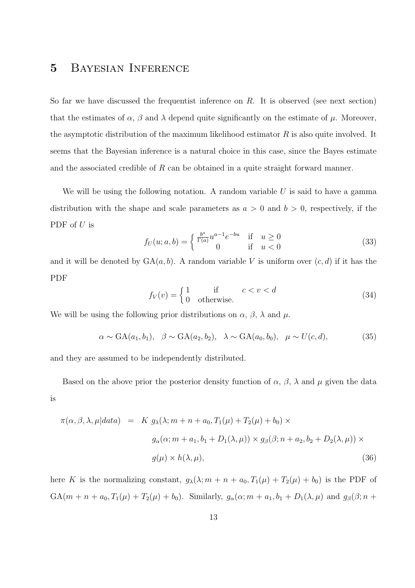# 5 Bayesian Inference

So far we have discussed the frequentist inference on  $R$ . It is observed (see next section) that the estimates of  $\alpha$ ,  $\beta$  and  $\lambda$  depend quite significantly on the estimate of  $\mu$ . Moreover, the asymptotic distribution of the maximum likelihood estimator  $R$  is also quite involved. It seems that the Bayesian inference is a natural choice in this case, since the Bayes estimate and the associated credible of R can be obtained in a quite straight forward manner.

We will be using the following notation. A random variable  $U$  is said to have a gamma distribution with the shape and scale parameters as  $a > 0$  and  $b > 0$ , respectively, if the PDF of U is

$$
f_U(u; a, b) = \begin{cases} \frac{b^a}{\Gamma(a)} u^{a-1} e^{-bu} & \text{if } u \ge 0\\ 0 & \text{if } u < 0 \end{cases}
$$
 (33)

and it will be denoted by  $GA(a, b)$ . A random variable V is uniform over  $(c, d)$  if it has the PDF

$$
f_V(v) = \begin{cases} 1 & \text{if } c < v < d \\ 0 & \text{otherwise.} \end{cases}
$$
 (34)

We will be using the following prior distributions on  $\alpha$ ,  $\beta$ ,  $\lambda$  and  $\mu$ .

$$
\alpha \sim \text{GA}(a_1, b_1), \quad \beta \sim \text{GA}(a_2, b_2), \quad \lambda \sim \text{GA}(a_0, b_0), \quad \mu \sim U(c, d), \tag{35}
$$

and they are assumed to be independently distributed.

Based on the above prior the posterior density function of  $\alpha$ ,  $\beta$ ,  $\lambda$  and  $\mu$  given the data is

$$
\pi(\alpha, \beta, \lambda, \mu|data) = K g_{\lambda}(\lambda; m + n + a_0, T_1(\mu) + T_2(\mu) + b_0) \times
$$
  

$$
g_{\alpha}(\alpha; m + a_1, b_1 + D_1(\lambda, \mu)) \times g_{\beta}(\beta; n + a_2, b_2 + D_2(\lambda, \mu)) \times
$$
  

$$
g(\mu) \times h(\lambda, \mu),
$$
 (36)

here K is the normalizing constant,  $g_{\lambda}(\lambda; m + n + a_0, T_1(\mu) + T_2(\mu) + b_0)$  is the PDF of GA( $m + n + a_0, T_1(\mu) + T_2(\mu) + b_0$ ). Similarly,  $g_\alpha(\alpha; m + a_1, b_1 + D_1(\lambda, \mu))$  and  $g_\beta(\beta; n +$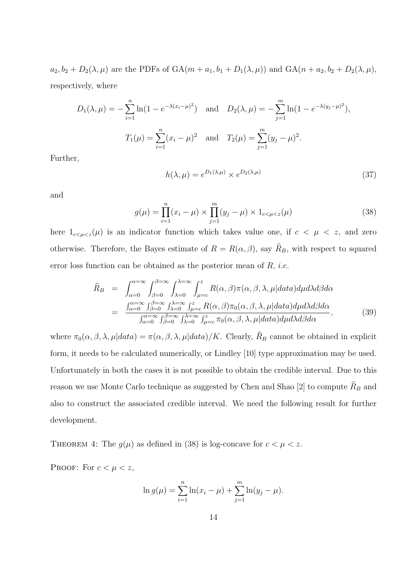$a_2, b_2 + D_2(\lambda, \mu)$  are the PDFs of  $GA(m + a_1, b_1 + D_1(\lambda, \mu))$  and  $GA(n + a_2, b_2 + D_2(\lambda, \mu))$ , respectively, where

$$
D_1(\lambda, \mu) = -\sum_{i=1}^n \ln(1 - e^{-\lambda(x_i - \mu)^2}) \text{ and } D_2(\lambda, \mu) = -\sum_{j=1}^m \ln(1 - e^{-\lambda(y_j - \mu)^2}),
$$
  

$$
T_1(\mu) = \sum_{i=1}^n (x_i - \mu)^2 \text{ and } T_2(\mu) = \sum_{j=1}^m (y_j - \mu)^2.
$$

Further,

$$
h(\lambda, \mu) = e^{D_1(\lambda, \mu)} \times e^{D_2(\lambda, \mu)}
$$
\n(37)

and

$$
g(\mu) = \prod_{i=1}^{n} (x_i - \mu) \times \prod_{j=1}^{m} (y_j - \mu) \times 1_{c < \mu < z}(\mu)
$$
 (38)

here  $1_{c \le \mu \le z}(\mu)$  is an indicator function which takes value one, if  $c < \mu < z$ , and zero otherwise. Therefore, the Bayes estimate of  $R = R(\alpha, \beta)$ , say  $R_B$ , with respect to squared error loss function can be obtained as the posterior mean of  $R$ , *i.e.* 

$$
\widehat{R}_{B} = \int_{\alpha=0}^{\alpha=\infty} \int_{\beta=0}^{\beta=\infty} \int_{\lambda=0}^{\lambda=\infty} \int_{\mu=c}^{z} R(\alpha,\beta)\pi(\alpha,\beta,\lambda,\mu|data)d\mu d\lambda d\beta d\alpha \n= \frac{\int_{\alpha=0}^{\alpha=\infty} \int_{\beta=0}^{\beta=\infty} \int_{\lambda=0}^{\lambda=\infty} \int_{\mu=c}^{z} R(\alpha,\beta)\pi_{0}(\alpha,\beta,\lambda,\mu|data)d\mu d\lambda d\beta d\alpha}{\int_{\alpha=0}^{\alpha=\infty} \int_{\beta=0}^{\beta=\infty} \int_{\lambda=0}^{\lambda=\infty} \int_{\mu=c}^{z} \pi_{0}(\alpha,\beta,\lambda,\mu|data)d\mu d\lambda d\beta d\alpha},
$$
\n(39)

where  $\pi_0(\alpha, \beta, \lambda, \mu | data) = \pi(\alpha, \beta, \lambda, \mu | data) / K$ . Clearly,  $R_B$  cannot be obtained in explicit form, it needs to be calculated numerically, or Lindley [10] type approximation may be used. Unfortunately in both the cases it is not possible to obtain the credible interval. Due to this reason we use Monte Carlo technique as suggested by Chen and Shao [2] to compute  $R_B$  and also to construct the associated credible interval. We need the following result for further development.

THEOREM 4: The  $g(\mu)$  as defined in (38) is log-concave for  $c < \mu < z$ .

PROOF: For  $c < \mu < z$ ,

$$
\ln g(\mu) = \sum_{i=1}^{n} \ln(x_i - \mu) + \sum_{j=1}^{m} \ln(y_j - \mu).
$$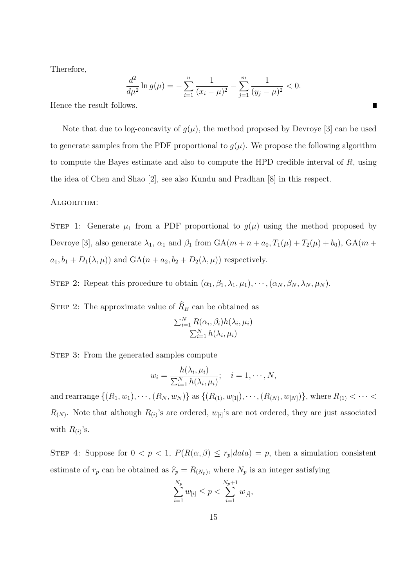Therefore,

$$
\frac{d^2}{d\mu^2} \ln g(\mu) = -\sum_{i=1}^n \frac{1}{(x_i - \mu)^2} - \sum_{j=1}^m \frac{1}{(y_j - \mu)^2} < 0.
$$

Hence the result follows.

Note that due to log-concavity of  $q(\mu)$ , the method proposed by Devroye [3] can be used to generate samples from the PDF proportional to  $g(\mu)$ . We propose the following algorithm to compute the Bayes estimate and also to compute the HPD credible interval of R, using the idea of Chen and Shao [2], see also Kundu and Pradhan [8] in this respect.

#### ALGORITHM:

STEP 1: Generate  $\mu_1$  from a PDF proportional to  $g(\mu)$  using the method proposed by Devroye [3], also generate  $\lambda_1$ ,  $\alpha_1$  and  $\beta_1$  from  $GA(m + n + a_0, T_1(\mu) + T_2(\mu) + b_0)$ ,  $GA(m +$  $a_1, b_1 + D_1(\lambda, \mu)$  and  $GA(n + a_2, b_2 + D_2(\lambda, \mu))$  respectively.

STEP 2: Repeat this procedure to obtain  $(\alpha_1, \beta_1, \lambda_1, \mu_1), \cdots, (\alpha_N, \beta_N, \lambda_N, \mu_N)$ .

STEP 2: The approximate value of  $R_B$  can be obtained as

$$
\frac{\sum_{i=1}^{N} R(\alpha_i, \beta_i) h(\lambda_i, \mu_i)}{\sum_{i=1}^{N} h(\lambda_i, \mu_i)}
$$

STEP 3: From the generated samples compute

$$
w_i = \frac{h(\lambda_i, \mu_i)}{\sum_{i=1}^N h(\lambda_i, \mu_i)}; \quad i = 1, \cdots, N,
$$

and rearrange  $\{(R_1, w_1), \cdots, (R_N, w_N)\}$  as  $\{(R_{(1)}, w_{[1]}), \cdots, (R_{(N)}, w_{[N]})\}$ , where  $R_{(1)} < \cdots <$  $R(N)$ . Note that although  $R(i)$ 's are ordered,  $w_{[i]}$ 's are not ordered, they are just associated with  $R_{(i)}$ 's.

STEP 4: Suppose for  $0 < p < 1$ ,  $P(R(\alpha, \beta) \leq r_p|data) = p$ , then a simulation consistent estimate of  $r_p$  can be obtained as  $\hat{r}_p = R_{(N_p)}$ , where  $N_p$  is an integer satisfying

$$
\sum_{i=1}^{N_p} w_{[i]} \le p < \sum_{i=1}^{N_p+1} w_{[i]},
$$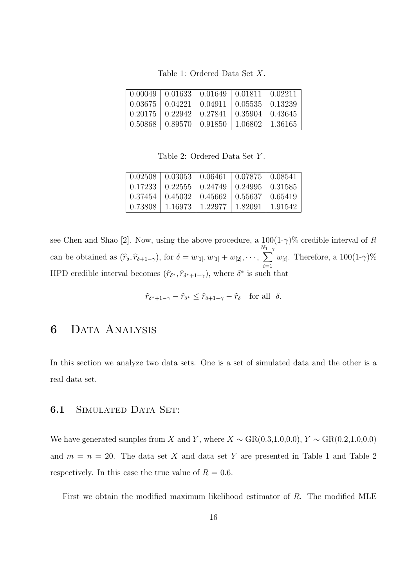Table 1: Ordered Data Set X.

| $(0.00049 \mid 0.01633 \mid 0.01649 \mid 0.01811 \mid 0.02211)$ |                                                               |  |
|-----------------------------------------------------------------|---------------------------------------------------------------|--|
|                                                                 | $0.03675 \mid 0.04221 \mid 0.04911 \mid 0.05535 \mid 0.13239$ |  |
|                                                                 | $0.20175 \mid 0.22942 \mid 0.27841 \mid 0.35904 \mid 0.43645$ |  |
|                                                                 | $0.50868$   $0.89570$   $0.91850$   $1.06802$   $1.36165$     |  |

Table 2: Ordered Data Set Y .

|         | $0.02508$   $0.03053$   $0.06461$   $0.07875$   $0.08541$     |  |
|---------|---------------------------------------------------------------|--|
|         | $0.17233 \mid 0.22555 \mid 0.24749 \mid 0.24995 \mid 0.31585$ |  |
|         | $0.37454$   $0.45032$   $0.45662$   $0.55637$   $0.65419$     |  |
| 0.73808 | $\mid$ 1.16973   1.22977   1.82091   1.91542                  |  |

see Chen and Shao [2]. Now, using the above procedure, a  $100(1-\gamma)\%$  credible interval of R can be obtained as  $(\hat{r}_{\delta}, \hat{r}_{\delta+1-\gamma})$ , for  $\delta = w_{[1]}, w_{[1]} + w_{[2]}, \cdots$ ,  $\sum_{n=1}^{N_1}$  $i=1$  $w_{[i]}$ . Therefore, a  $100(1-\gamma)\%$ HPD credible interval becomes  $(\hat{r}_{\delta^*}, \hat{r}_{\delta^*+1-\gamma})$ , where  $\delta^*$  is such that

$$
\widehat{r}_{\delta^*+1-\gamma} - \widehat{r}_{\delta^*} \le \widehat{r}_{\delta+1-\gamma} - \widehat{r}_{\delta} \quad \text{for all} \ \delta.
$$

# 6 Data Analysis

In this section we analyze two data sets. One is a set of simulated data and the other is a real data set.

#### 6.1 SIMULATED DATA SET:

We have generated samples from X and Y, where  $X \sim \text{GR}(0.3, 1.0, 0.0), Y \sim \text{GR}(0.2, 1.0, 0.0)$ and  $m = n = 20$ . The data set X and data set Y are presented in Table 1 and Table 2 respectively. In this case the true value of  $R = 0.6$ .

First we obtain the modified maximum likelihood estimator of R. The modified MLE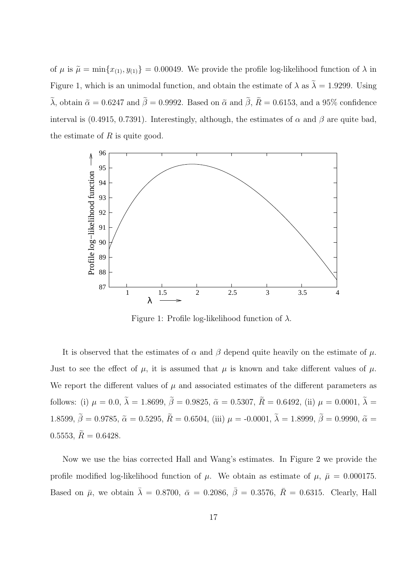of  $\mu$  is  $\tilde{\mu} = \min\{x_{(1)}, y_{(1)}\} = 0.00049$ . We provide the profile log-likelihood function of  $\lambda$  in Figure 1, which is an unimodal function, and obtain the estimate of  $\lambda$  as  $\tilde{\lambda} = 1.9299$ . Using  $\tilde{\lambda}$ , obtain  $\tilde{\alpha} = 0.6247$  and  $\tilde{\beta} = 0.9992$ . Based on  $\tilde{\alpha}$  and  $\tilde{\beta}$ ,  $\tilde{R} = 0.6153$ , and a 95% confidence interval is (0.4915, 0.7391). Interestingly, although, the estimates of  $\alpha$  and  $\beta$  are quite bad, the estimate of  $R$  is quite good.



Figure 1: Profile log-likelihood function of  $\lambda$ .

It is observed that the estimates of  $\alpha$  and  $\beta$  depend quite heavily on the estimate of  $\mu$ . Just to see the effect of  $\mu$ , it is assumed that  $\mu$  is known and take different values of  $\mu$ . We report the different values of  $\mu$  and associated estimates of the different parameters as follows: (i)  $\mu = 0.0$ ,  $\tilde{\lambda} = 1.8699$ ,  $\tilde{\beta} = 0.9825$ ,  $\tilde{\alpha} = 0.5307$ ,  $\tilde{R} = 0.6492$ , (ii)  $\mu = 0.0001$ ,  $\tilde{\lambda} =$ 1.8599,  $\tilde{\beta} = 0.9785$ ,  $\tilde{\alpha} = 0.5295$ ,  $\tilde{R} = 0.6504$ , (iii)  $\mu = -0.0001$ ,  $\tilde{\lambda} = 1.8999$ ,  $\tilde{\beta} = 0.9990$ ,  $\tilde{\alpha} =$ 0.5553,  $\tilde{R} = 0.6428$ .

Now we use the bias corrected Hall and Wang's estimates. In Figure 2 we provide the profile modified log-likelihood function of  $\mu$ . We obtain as estimate of  $\mu$ ,  $\bar{\mu} = 0.000175$ . Based on  $\bar{\mu}$ , we obtain  $\bar{\lambda} = 0.8700$ ,  $\bar{\alpha} = 0.2086$ ,  $\bar{\beta} = 0.3576$ ,  $\bar{R} = 0.6315$ . Clearly, Hall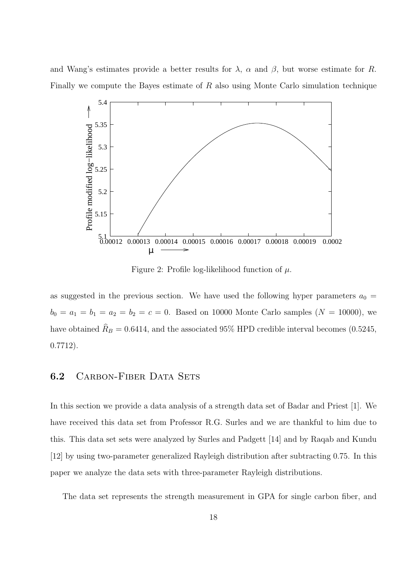and Wang's estimates provide a better results for  $\lambda$ ,  $\alpha$  and  $\beta$ , but worse estimate for R. Finally we compute the Bayes estimate of R also using Monte Carlo simulation technique



Figure 2: Profile log-likelihood function of  $\mu$ .

as suggested in the previous section. We have used the following hyper parameters  $a_0 =$  $b_0 = a_1 = b_1 = a_2 = b_2 = c = 0$ . Based on 10000 Monte Carlo samples ( $N = 10000$ ), we have obtained  $R_B = 0.6414$ , and the associated 95% HPD credible interval becomes (0.5245, 0.7712).

#### 6.2 CARBON-FIBER DATA SETS

In this section we provide a data analysis of a strength data set of Badar and Priest [1]. We have received this data set from Professor R.G. Surles and we are thankful to him due to this. This data set sets were analyzed by Surles and Padgett [14] and by Raqab and Kundu [12] by using two-parameter generalized Rayleigh distribution after subtracting 0.75. In this paper we analyze the data sets with three-parameter Rayleigh distributions.

The data set represents the strength measurement in GPA for single carbon fiber, and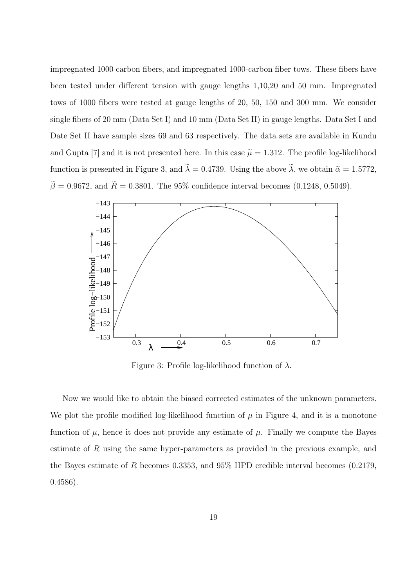impregnated 1000 carbon fibers, and impregnated 1000-carbon fiber tows. These fibers have been tested under different tension with gauge lengths 1,10,20 and 50 mm. Impregnated tows of 1000 fibers were tested at gauge lengths of 20, 50, 150 and 300 mm. We consider single fibers of 20 mm (Data Set I) and 10 mm (Data Set II) in gauge lengths. Data Set I and Date Set II have sample sizes 69 and 63 respectively. The data sets are available in Kundu and Gupta [7] and it is not presented here. In this case  $\tilde{\mu} = 1.312$ . The profile log-likelihood function is presented in Figure 3, and  $\tilde{\lambda} = 0.4739$ . Using the above  $\tilde{\lambda}$ , we obtain  $\tilde{\alpha} = 1.5772$ ,  $\tilde{\beta} = 0.9672$ , and  $\tilde{R} = 0.3801$ . The 95% confidence interval becomes (0.1248, 0.5049).



Figure 3: Profile log-likelihood function of  $\lambda$ .

Now we would like to obtain the biased corrected estimates of the unknown parameters. We plot the profile modified log-likelihood function of  $\mu$  in Figure 4, and it is a monotone function of  $\mu$ , hence it does not provide any estimate of  $\mu$ . Finally we compute the Bayes estimate of R using the same hyper-parameters as provided in the previous example, and the Bayes estimate of R becomes 0.3353, and 95% HPD credible interval becomes (0.2179, 0.4586).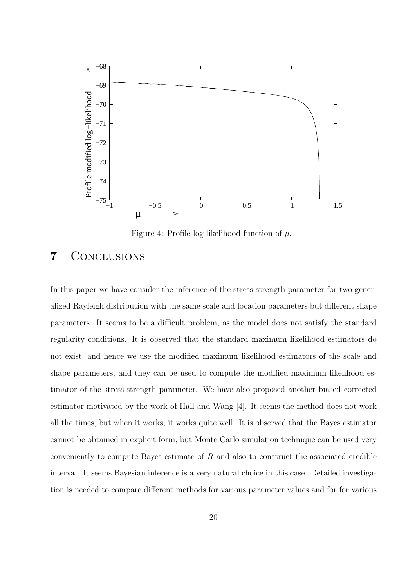

Figure 4: Profile log-likelihood function of  $\mu$ .

### 7 Conclusions

In this paper we have consider the inference of the stress strength parameter for two generalized Rayleigh distribution with the same scale and location parameters but different shape parameters. It seems to be a difficult problem, as the model does not satisfy the standard regularity conditions. It is observed that the standard maximum likelihood estimators do not exist, and hence we use the modified maximum likelihood estimators of the scale and shape parameters, and they can be used to compute the modified maximum likelihood estimator of the stress-strength parameter. We have also proposed another biased corrected estimator motivated by the work of Hall and Wang [4]. It seems the method does not work all the times, but when it works, it works quite well. It is observed that the Bayes estimator cannot be obtained in explicit form, but Monte Carlo simulation technique can be used very conveniently to compute Bayes estimate of  $R$  and also to construct the associated credible interval. It seems Bayesian inference is a very natural choice in this case. Detailed investigation is needed to compare different methods for various parameter values and for for various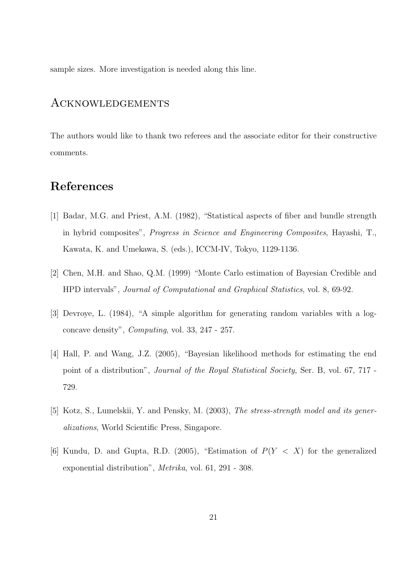sample sizes. More investigation is needed along this line.

### Acknowledgements

The authors would like to thank two referees and the associate editor for their constructive comments.

## References

- [1] Badar, M.G. and Priest, A.M. (1982), "Statistical aspects of fiber and bundle strength in hybrid composites", Progress in Science and Engineering Composites, Hayashi, T., Kawata, K. and Umekawa, S. (eds.), ICCM-IV, Tokyo, 1129-1136.
- [2] Chen, M.H. and Shao, Q.M. (1999) "Monte Carlo estimation of Bayesian Credible and HPD intervals", Journal of Computational and Graphical Statistics, vol. 8, 69-92.
- [3] Devroye, L. (1984), "A simple algorithm for generating random variables with a logconcave density", Computing, vol. 33, 247 - 257.
- [4] Hall, P. and Wang, J.Z. (2005), "Bayesian likelihood methods for estimating the end point of a distribution", Journal of the Royal Statistical Society, Ser. B, vol. 67, 717 - 729.
- [5] Kotz, S., Lumelskii, Y. and Pensky, M. (2003), The stress-strength model and its generalizations, World Scientific Press, Singapore.
- [6] Kundu, D. and Gupta, R.D. (2005), "Estimation of  $P(Y < X)$  for the generalized exponential distribution", Metrika, vol. 61, 291 - 308.